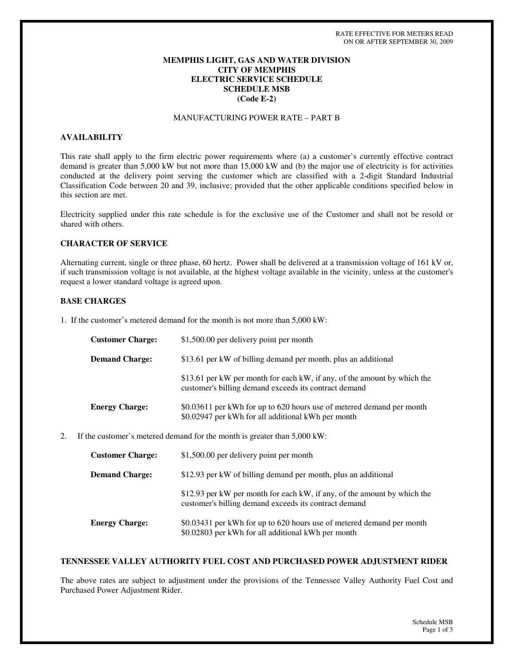### **MEMPHIS LIGHT, GAS AND WATER DIVISION CITY OF MEMPHIS ELECTRIC SERVICE SCHEDULE SCHEDULE MSB (Code E-2)**

# MANUFACTURING POWER RATE – PART B

### **AVAILABILITY**

This rate shall apply to the firm electric power requirements where (a) a customer's currently effective contract demand is greater than 5,000 kW but not more than 15,000 kW and (b) the major use of electricity is for activities conducted at the delivery point serving the customer which are classified with a 2-digit Standard Industrial Classification Code between 20 and 39, inclusive; provided that the other applicable conditions specified below in this section are met.

Electricity supplied under this rate schedule is for the exclusive use of the Customer and shall not be resold or shared with others.

### **CHARACTER OF SERVICE**

Alternating current, single or three phase, 60 hertz. Power shall be delivered at a transmission voltage of 161 kV or, if such transmission voltage is not available, at the highest voltage available in the vicinity, unless at the customer's request a lower standard voltage is agreed upon.

#### **BASE CHARGES**

1. If the customer's metered demand for the month is not more than 5,000 kW:

| <b>Customer Charge:</b> | \$1,500.00 per delivery point per month                                                                                           |
|-------------------------|-----------------------------------------------------------------------------------------------------------------------------------|
| <b>Demand Charge:</b>   | \$13.61 per kW of billing demand per month, plus an additional                                                                    |
|                         | \$13.61 per kW per month for each kW, if any, of the amount by which the<br>customer's billing demand exceeds its contract demand |
| <b>Energy Charge:</b>   | \$0.03611 per kWh for up to 620 hours use of metered demand per month<br>\$0.02947 per kWh for all additional kWh per month       |

2. If the customer's metered demand for the month is greater than 5,000 kW:

| <b>Customer Charge:</b> | \$1,500.00 per delivery point per month                                                                                           |
|-------------------------|-----------------------------------------------------------------------------------------------------------------------------------|
| <b>Demand Charge:</b>   | \$12.93 per kW of billing demand per month, plus an additional                                                                    |
|                         | \$12.93 per kW per month for each kW, if any, of the amount by which the<br>customer's billing demand exceeds its contract demand |
| <b>Energy Charge:</b>   | \$0.03431 per kWh for up to 620 hours use of metered demand per month<br>\$0.02803 per kWh for all additional kWh per month       |

#### **TENNESSEE VALLEY AUTHORITY FUEL COST AND PURCHASED POWER ADJUSTMENT RIDER**

The above rates are subject to adjustment under the provisions of the Tennessee Valley Authority Fuel Cost and Purchased Power Adjustment Rider.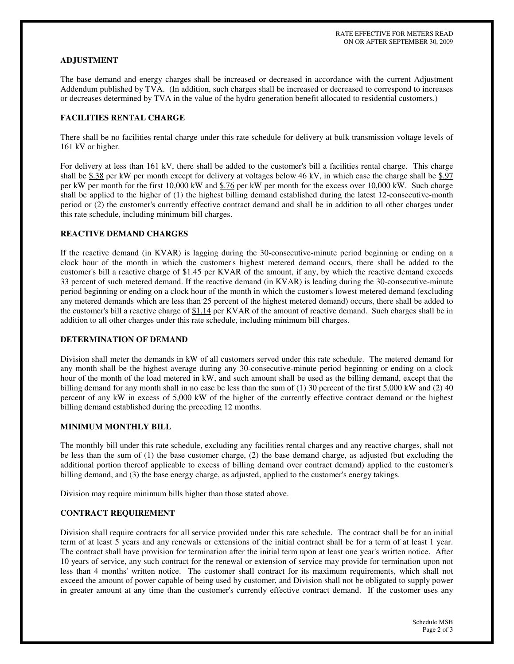### **ADJUSTMENT**

The base demand and energy charges shall be increased or decreased in accordance with the current Adjustment Addendum published by TVA. (In addition, such charges shall be increased or decreased to correspond to increases or decreases determined by TVA in the value of the hydro generation benefit allocated to residential customers.)

### **FACILITIES RENTAL CHARGE**

There shall be no facilities rental charge under this rate schedule for delivery at bulk transmission voltage levels of 161 kV or higher.

For delivery at less than 161 kV, there shall be added to the customer's bill a facilities rental charge. This charge shall be  $$.38$  per kW per month except for delivery at voltages below 46 kV, in which case the charge shall be  $$.97$ per kW per month for the first 10,000 kW and \$.76 per kW per month for the excess over 10,000 kW. Such charge shall be applied to the higher of (1) the highest billing demand established during the latest 12-consecutive-month period or (2) the customer's currently effective contract demand and shall be in addition to all other charges under this rate schedule, including minimum bill charges.

# **REACTIVE DEMAND CHARGES**

If the reactive demand (in KVAR) is lagging during the 30-consecutive-minute period beginning or ending on a clock hour of the month in which the customer's highest metered demand occurs, there shall be added to the customer's bill a reactive charge of \$1.45 per KVAR of the amount, if any, by which the reactive demand exceeds 33 percent of such metered demand. If the reactive demand (in KVAR) is leading during the 30-consecutive-minute period beginning or ending on a clock hour of the month in which the customer's lowest metered demand (excluding any metered demands which are less than 25 percent of the highest metered demand) occurs, there shall be added to the customer's bill a reactive charge of \$1.14 per KVAR of the amount of reactive demand. Such charges shall be in addition to all other charges under this rate schedule, including minimum bill charges.

### **DETERMINATION OF DEMAND**

Division shall meter the demands in kW of all customers served under this rate schedule. The metered demand for any month shall be the highest average during any 30-consecutive-minute period beginning or ending on a clock hour of the month of the load metered in kW, and such amount shall be used as the billing demand, except that the billing demand for any month shall in no case be less than the sum of (1) 30 percent of the first 5,000 kW and (2) 40 percent of any kW in excess of 5,000 kW of the higher of the currently effective contract demand or the highest billing demand established during the preceding 12 months.

# **MINIMUM MONTHLY BILL**

The monthly bill under this rate schedule, excluding any facilities rental charges and any reactive charges, shall not be less than the sum of (1) the base customer charge, (2) the base demand charge, as adjusted (but excluding the additional portion thereof applicable to excess of billing demand over contract demand) applied to the customer's billing demand, and (3) the base energy charge, as adjusted, applied to the customer's energy takings.

Division may require minimum bills higher than those stated above.

#### **CONTRACT REQUIREMENT**

Division shall require contracts for all service provided under this rate schedule. The contract shall be for an initial term of at least 5 years and any renewals or extensions of the initial contract shall be for a term of at least 1 year. The contract shall have provision for termination after the initial term upon at least one year's written notice. After 10 years of service, any such contract for the renewal or extension of service may provide for termination upon not less than 4 months'written notice. The customer shall contract for its maximum requirements, which shall not exceed the amount of power capable of being used by customer, and Division shall not be obligated to supply power in greater amount at any time than the customer's currently effective contract demand. If the customer uses any